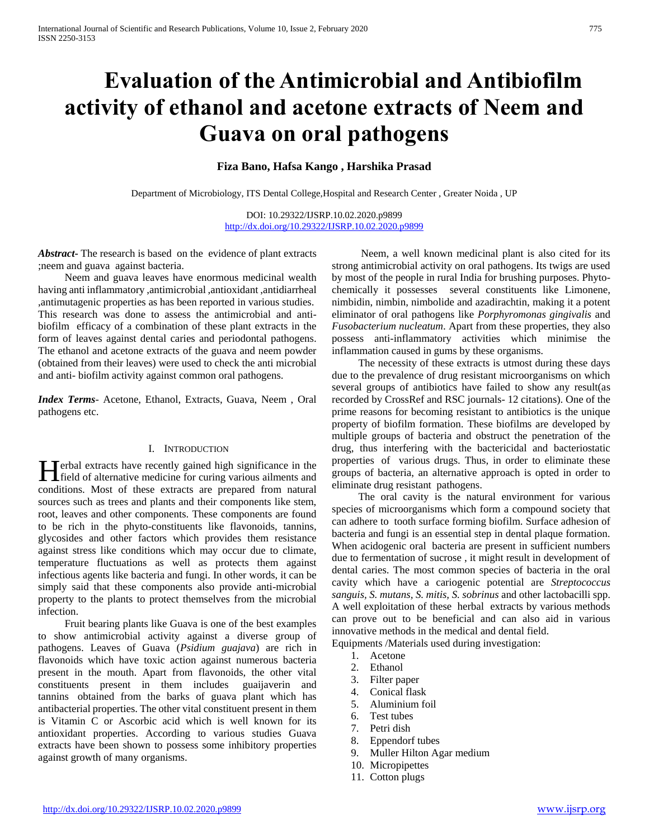# **Evaluation of the Antimicrobial and Antibiofilm activity of ethanol and acetone extracts of Neem and Guava on oral pathogens**

## **Fiza Bano, Hafsa Kango , Harshika Prasad**

Department of Microbiology, ITS Dental College,Hospital and Research Center , Greater Noida , UP

DOI: 10.29322/IJSRP.10.02.2020.p9899 <http://dx.doi.org/10.29322/IJSRP.10.02.2020.p9899>

*Abstract***-** The research is based on the evidence of plant extracts ;neem and guava against bacteria.

 Neem and guava leaves have enormous medicinal wealth having anti inflammatory ,antimicrobial ,antioxidant ,antidiarrheal ,antimutagenic properties as has been reported in various studies. This research was done to assess the antimicrobial and antibiofilm efficacy of a combination of these plant extracts in the form of leaves against dental caries and periodontal pathogens. The ethanol and acetone extracts of the guava and neem powder (obtained from their leaves) were used to check the anti microbial and anti- biofilm activity against common oral pathogens.

*Index Terms*- Acetone, Ethanol, Extracts, Guava, Neem , Oral pathogens etc.

#### I. INTRODUCTION

Terbal extracts have recently gained high significance in the **field of alternative medicine for curing various ailments and internative medicine for curing various ailments and** conditions. Most of these extracts are prepared from natural sources such as trees and plants and their components like stem, root, leaves and other components. These components are found to be rich in the phyto-constituents like flavonoids, tannins, glycosides and other factors which provides them resistance against stress like conditions which may occur due to climate, temperature fluctuations as well as protects them against infectious agents like bacteria and fungi. In other words, it can be simply said that these components also provide anti-microbial property to the plants to protect themselves from the microbial infection.

 Fruit bearing plants like Guava is one of the best examples to show antimicrobial activity against a diverse group of pathogens. Leaves of Guava (*Psidium guajava*) are rich in flavonoids which have toxic action against numerous bacteria present in the mouth. Apart from flavonoids, the other vital constituents present in them includes guaijaverin and tannins obtained from the barks of guava plant which has antibacterial properties. The other vital constituent present in them is Vitamin C or Ascorbic acid which is well known for its antioxidant properties. According to various studies Guava extracts have been shown to possess some inhibitory properties against growth of many organisms.

 Neem, a well known medicinal plant is also cited for its strong antimicrobial activity on oral pathogens. Its twigs are used by most of the people in rural India for brushing purposes. Phytochemically it possesses several constituents like Limonene, nimbidin, nimbin, nimbolide and azadirachtin, making it a potent eliminator of oral pathogens like *Porphyromonas gingivalis* and *Fusobacterium nucleatum*. Apart from these properties, they also possess anti-inflammatory activities which minimise the inflammation caused in gums by these organisms.

 The necessity of these extracts is utmost during these days due to the prevalence of drug resistant microorganisms on which several groups of antibiotics have failed to show any result(as recorded by CrossRef and RSC journals- 12 citations). One of the prime reasons for becoming resistant to antibiotics is the unique property of biofilm formation. These biofilms are developed by multiple groups of bacteria and obstruct the penetration of the drug, thus interfering with the bactericidal and bacteriostatic properties of various drugs. Thus, in order to eliminate these groups of bacteria, an alternative approach is opted in order to eliminate drug resistant pathogens.

 The oral cavity is the natural environment for various species of microorganisms which form a compound society that can adhere to tooth surface forming biofilm. Surface adhesion of bacteria and fungi is an essential step in dental plaque formation. When acidogenic oral bacteria are present in sufficient numbers due to fermentation of sucrose , it might result in development of dental caries. The most common species of bacteria in the oral cavity which have a cariogenic potential are *Streptococcus sanguis, S. mutans, S. mitis, S. sobrinus* and other lactobacilli spp. A well exploitation of these herbal extracts by various methods can prove out to be beneficial and can also aid in various innovative methods in the medical and dental field.

Equipments /Materials used during investigation:

- 1. Acetone
- 2. Ethanol
- 3. Filter paper
- 4. Conical flask
- 5. Aluminium foil
- 6. Test tubes
- 7. Petri dish
- 8. Eppendorf tubes
- 9. Muller Hilton Agar medium
- 10. Micropipettes
- 11. Cotton plugs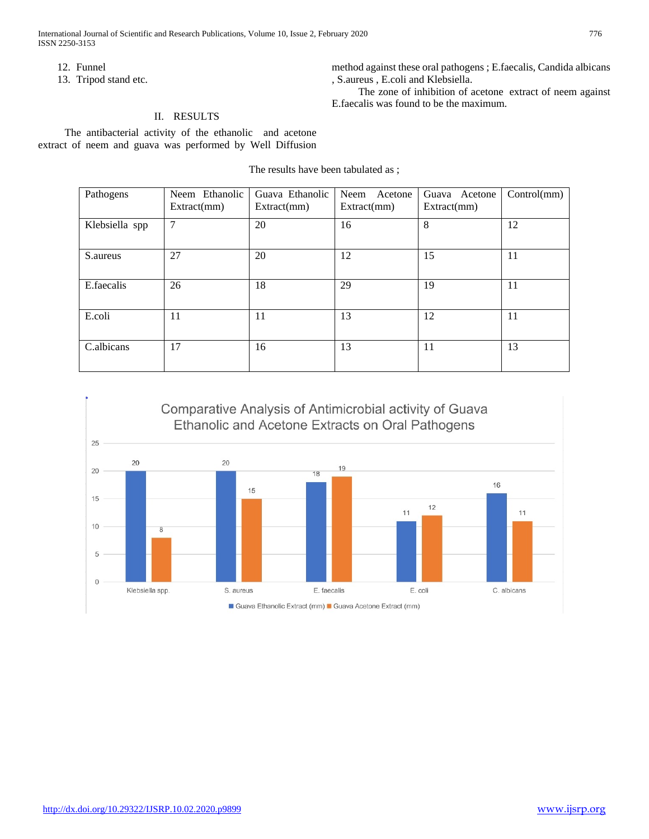International Journal of Scientific and Research Publications, Volume 10, Issue 2, February 2020 776 ISSN 2250-3153

method against these oral pathogens ; E.faecalis, Candida albicans

The zone of inhibition of acetone extract of neem against

, S.aureus , E.coli and Klebsiella.

E.faecalis was found to be the maximum.

12. Funnel

13. Tripod stand etc.

## II. RESULTS

 The antibacterial activity of the ethanolic and acetone extract of neem and guava was performed by Well Diffusion

The results have been tabulated as ;

| Pathogens      | Neem Ethanolic<br>Extract(mm)   | Guava Ethanolic<br>Extract(mm) | Neem Acetone<br>Extract(mm) | Guava Acetone<br>Extract(mm) | Control(mm) |
|----------------|---------------------------------|--------------------------------|-----------------------------|------------------------------|-------------|
| Klebsiella spp | $\overline{7}$<br>20<br>8<br>16 |                                |                             |                              | 12          |
| S.aureus       | 27                              | 20                             | 12                          | 15                           | 11          |
| E.faecalis     | 26                              | 18                             | 29                          | 19                           | 11          |
| E.coli         | 11                              | 11                             | 13                          | 12                           | 11          |
| C.albicans     | 17                              | 16                             | 13                          | 11                           | 13          |

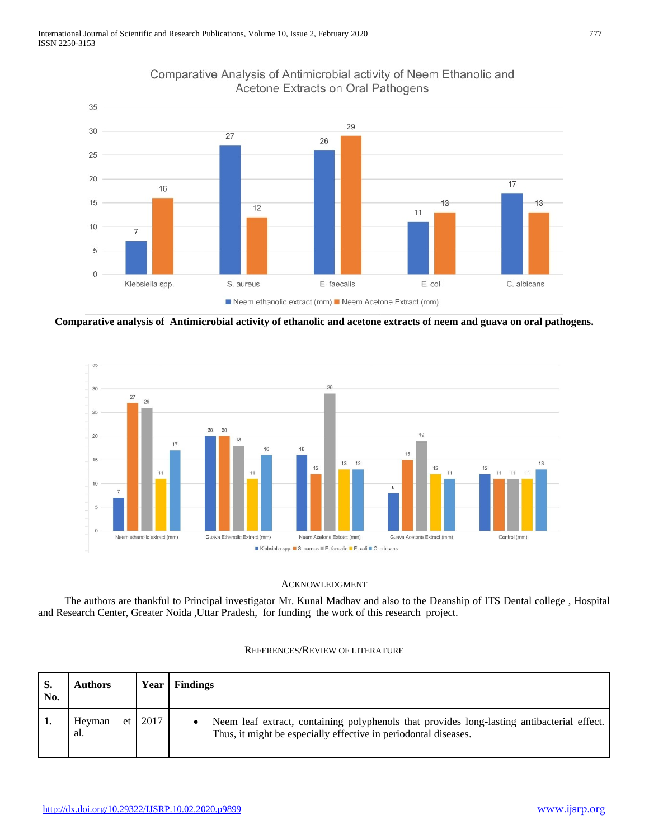

# Comparative Analysis of Antimicrobial activity of Neem Ethanolic and Acetone Extracts on Oral Pathogens

**Comparative analysis of Antimicrobial activity of ethanolic and acetone extracts of neem and guava on oral pathogens.**



#### ACKNOWLEDGMENT

 The authors are thankful to Principal investigator Mr. Kunal Madhav and also to the Deanship of ITS Dental college , Hospital and Research Center, Greater Noida ,Uttar Pradesh, for funding the work of this research project.

| S.<br>No. | Authors               | Year | <b>Findings</b>                                                                                                                                               |
|-----------|-----------------------|------|---------------------------------------------------------------------------------------------------------------------------------------------------------------|
|           | Heyman<br>et l<br>al. | 2017 | Neem leaf extract, containing polyphenols that provides long-lasting antibacterial effect.<br>Thus, it might be especially effective in periodontal diseases. |

## REFERENCES/REVIEW OF LITERATURE